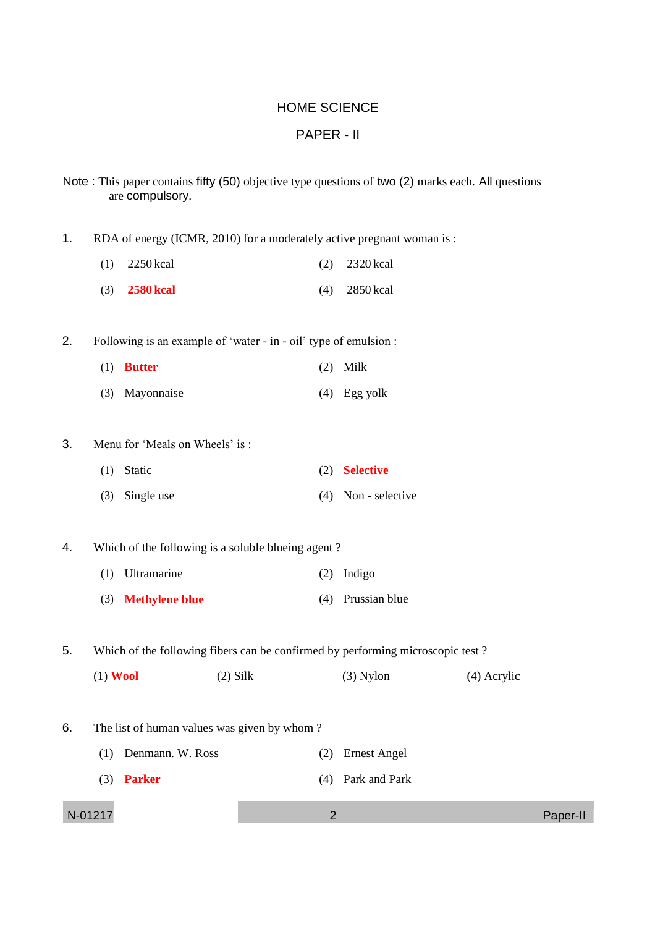## HOME SCIENCE

## PAPER - II

- Note : This paper contains fifty (50) objective type questions of two (2) marks each. All questions are compulsory.
- 1. RDA of energy (ICMR, 2010) for a moderately active pregnant woman is :
	- (1) 2250 kcal (2) 2320 kcal (3) **2580 kcal** (4) 2850 kcal
- 2. Following is an example of 'water in oil' type of emulsion :
	- (1) **Butter** (2) Milk (3) Mayonnaise (4) Egg yolk
- 3. Menu for 'Meals on Wheels' is :
	- (1) Static (2) **Selective**
	- (3) Single use (4) Non selective
- 4. Which of the following is a soluble blueing agent ?
	- (1) Ultramarine (2) Indigo (3) **Methylene blue** (4) Prussian blue

5. Which of the following fibers can be confirmed by performing microscopic test ?

| $(2)$ Silk<br>$(1)$ Wool<br>$(3)$ Nylon | (4) Acrylic |
|-----------------------------------------|-------------|
|-----------------------------------------|-------------|

- 6. The list of human values was given by whom ?
	- (1) Denmann. W. Ross (2) Ernest Angel
	- (3) **Parker** (4) Park and Park

```
N-01217 2 Paper-II
```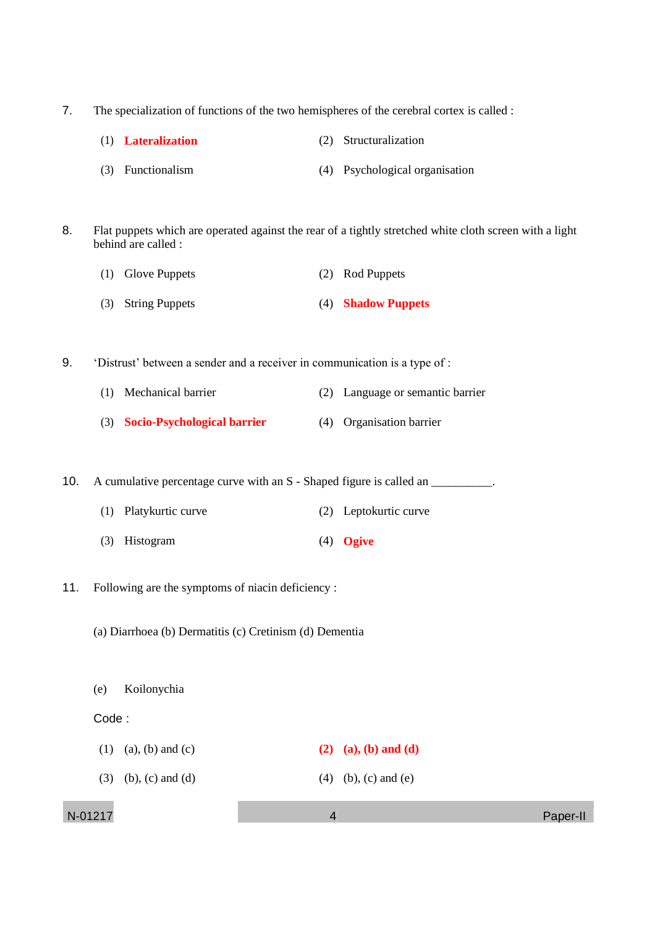- 7. The specialization of functions of the two hemispheres of the cerebral cortex is called :
	- (1) **Lateralization** (2) Structuralization
	- (3) Functionalism (4) Psychological organisation
- 8. Flat puppets which are operated against the rear of a tightly stretched white cloth screen with a light behind are called :
	- (1) Glove Puppets (2) Rod Puppets
	- (3) String Puppets (4) **Shadow Puppets**
- 9. 'Distrust' between a sender and a receiver in communication is a type of :
	- (1) Mechanical barrier (2) Language or semantic barrier
	- (3) **Socio-Psychological barrier** (4) Organisation barrier

10. A cumulative percentage curve with an S - Shaped figure is called an

- (1) Platykurtic curve (2) Leptokurtic curve
- (3) Histogram (4) **Ogive**
- 11. Following are the symptoms of niacin deficiency :
	- (a) Diarrhoea (b) Dermatitis (c) Cretinism (d) Dementia
	- (e) Koilonychia

### Code :

(1) (a), (b) and (c) **(2) (a), (b) and (d)** (3) (b), (c) and (d) (4) (b), (c) and (e)

N-01217 4 Paper-II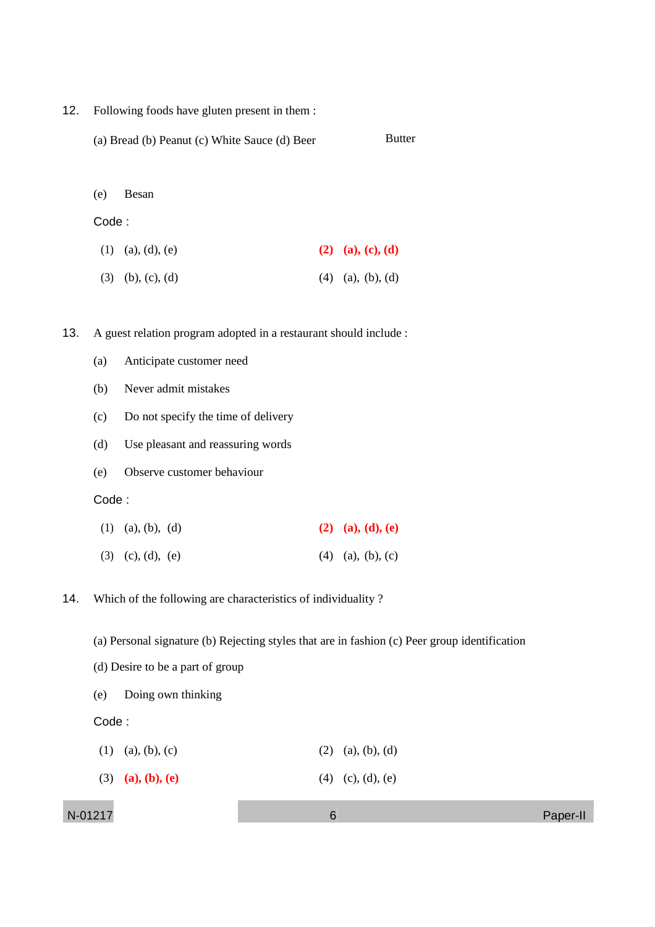- 12. Following foods have gluten present in them :
	- (a) Bread (b) Peanut (c) White Sauce (d) Beer Butter

#### (e) Besan

### Code :

- (1) (a), (d), (e) **(2) (a), (c), (d)**
- (3) (b), (c), (d) (4) (a), (b), (d)

13. A guest relation program adopted in a restaurant should include :

- (a) Anticipate customer need
- (b) Never admit mistakes
- (c) Do not specify the time of delivery
- (d) Use pleasant and reassuring words
- (e) Observe customer behaviour

### Code :

| $(1)$ (a), (b), (d) | (2) (a), (d), (e)   |
|---------------------|---------------------|
| $(3)$ (c), (d), (e) | $(4)$ (a), (b), (c) |

14. Which of the following are characteristics of individuality ?

(a) Personal signature (b) Rejecting styles that are in fashion (c) Peer group identification

- (d) Desire to be a part of group
- (e) Doing own thinking

Code :

| $(2)$ (a), (b), (d)<br>$(1)$ (a), (b), (c) |  |
|--------------------------------------------|--|
|--------------------------------------------|--|

(3) **(a), (b), (e)** (4) (c), (d), (e)

N-01217 6 Paper-II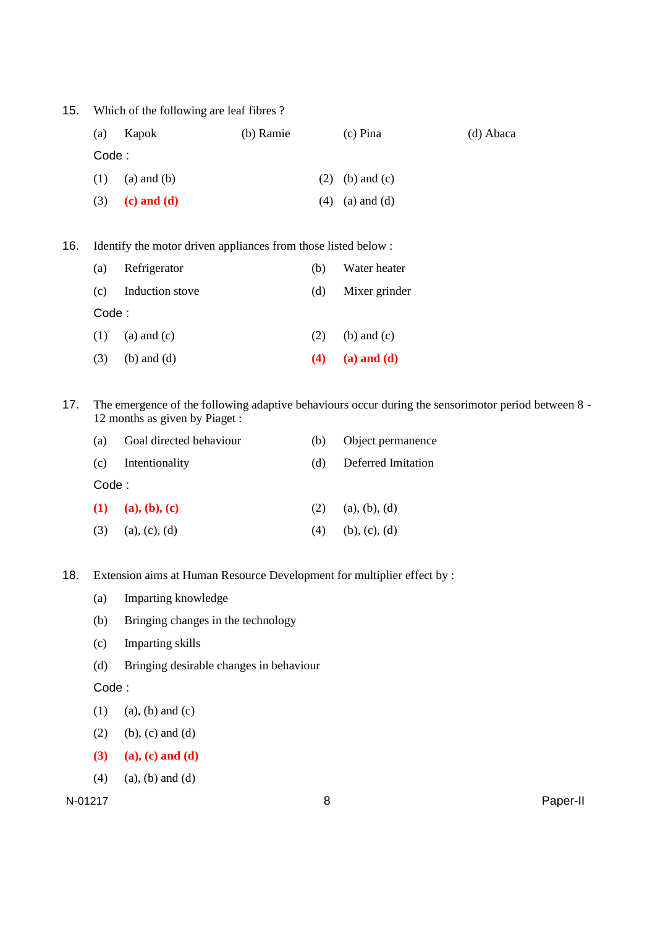15. Which of the following are leaf fibres ? (a) Kapok (b) Ramie (c) Pina (d) Abaca Code : (1) (a) and (b) (2) (b) and (c) (3) **(c) and (d)** (4) (a) and (d)

16. Identify the motor driven appliances from those listed below :

| (a)    | Refrigerator    | (b) | Water heater    |  |
|--------|-----------------|-----|-----------------|--|
| (c)    | Induction stove | (d) | Mixer grinder   |  |
| Code : |                 |     |                 |  |
| (1)    | $(a)$ and $(c)$ | (2) | $(b)$ and $(c)$ |  |
| (3)    | $(b)$ and $(d)$ | (4) | $(a)$ and $(d)$ |  |

17. The emergence of the following adaptive behaviours occur during the sensorimotor period between 8 - 12 months as given by Piaget :

| (a)    | Goal directed behaviour | (b) | Object permanence  |  |  |
|--------|-------------------------|-----|--------------------|--|--|
|        | (c) Intentionality      | (d) | Deferred Imitation |  |  |
| Code : |                         |     |                    |  |  |
|        | (1) (a), (b), (c)       | (2) | (a), (b), (d)      |  |  |
| (3)    | (a), (c), (d)           | (4) | (b), (c), (d)      |  |  |

18. Extension aims at Human Resource Development for multiplier effect by :

- (a) Imparting knowledge
- (b) Bringing changes in the technology
- (c) Imparting skills
- (d) Bringing desirable changes in behaviour

Code :

- $(1)$  (a), (b) and (c)
- (2) (b), (c) and (d)
- **(3) (a), (c) and (d)**
- $(4)$  (a), (b) and (d)

N-01217 8 Paper-II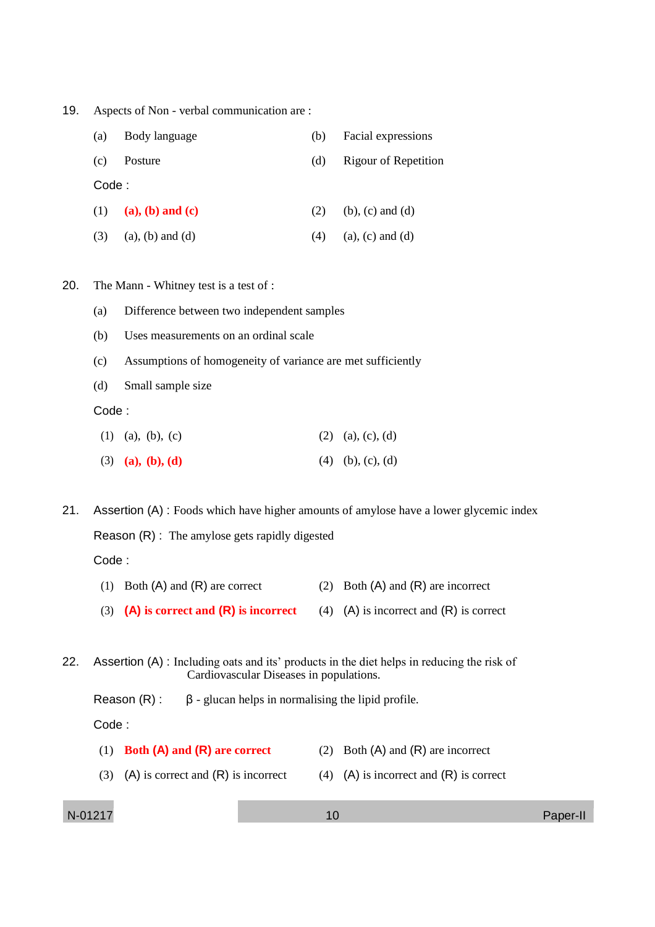19. Aspects of Non - verbal communication are :

| (a)    | Body language           | (b) | Facial expressions      |
|--------|-------------------------|-----|-------------------------|
| (c)    | Posture                 | (d) | Rigour of Repetition    |
| Code : |                         |     |                         |
| (1)    | $(a), (b)$ and $(c)$    | (2) | $(b)$ , $(c)$ and $(d)$ |
| (3)    | $(a)$ , $(b)$ and $(d)$ | (4) | $(a)$ , $(c)$ and $(d)$ |

20. The Mann - Whitney test is a test of :

- (a) Difference between two independent samples
- (b) Uses measurements on an ordinal scale
- (c) Assumptions of homogeneity of variance are met sufficiently
- (d) Small sample size

Code :

| $(1)$ (a), (b), (c) |  | $(2)$ (a), (c), (d) |
|---------------------|--|---------------------|
|---------------------|--|---------------------|

(3) **(a), (b), (d)** (4) (b), (c), (d)

21. Assertion (A) : Foods which have higher amounts of amylose have a lower glycemic index Reason (R) : The amylose gets rapidly digested Code :

- (1) Both (A) and (R) are correct (2) Both (A) and (R) are incorrect
- (3) **(A) is correct and (R) is incorrect** (4) (A) is incorrect and (R) is correct
- 22. Assertion (A) : Including oats and its' products in the diet helps in reducing the risk of Cardiovascular Diseases in populations.

Reason  $(R)$ : β - glucan helps in normalising the lipid profile.

Code :

| $(1)$ Both (A) and (R) are correct        | (2) Both $(A)$ and $(R)$ are incorrect    |
|-------------------------------------------|-------------------------------------------|
| (3) (A) is correct and $(R)$ is incorrect | (4) (A) is incorrect and $(R)$ is correct |

N-01217 10 Paper-II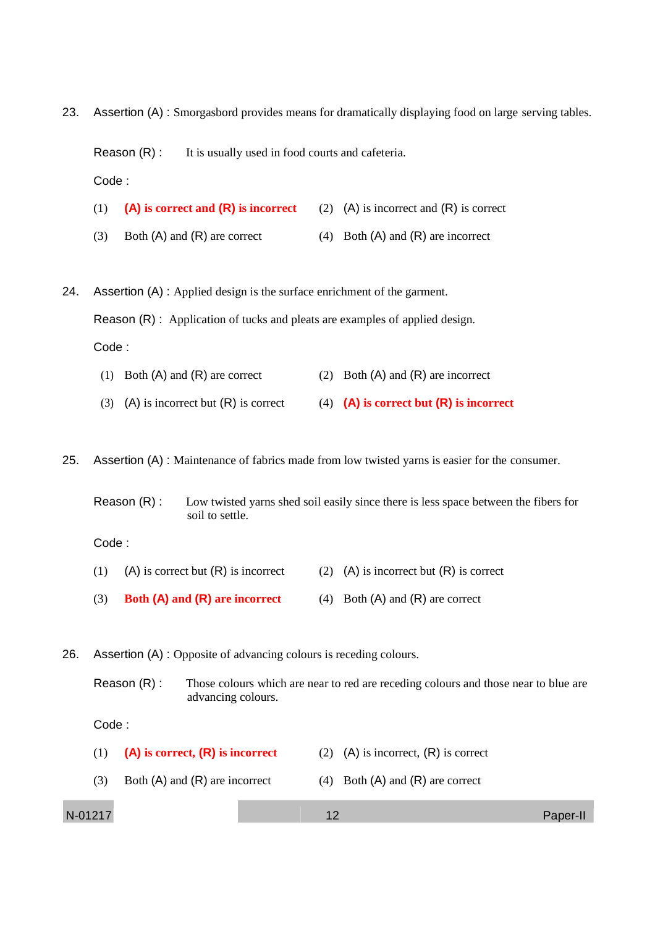23. Assertion (A) : Smorgasbord provides means for dramatically displaying food on large serving tables.

Reason (R) : It is usually used in food courts and cafeteria.

- Code :
- (1) **(A) is correct and (R) is incorrect** (2) (A) is incorrect and (R) is correct
- (3) Both  $(A)$  and  $(R)$  are correct (4) Both  $(A)$  and  $(R)$  are incorrect

24. Assertion (A) : Applied design is the surface enrichment of the garment. Reason (R) : Application of tucks and pleats are examples of applied design. Code :

- (1) Both  $(A)$  and  $(R)$  are correct (2) Both  $(A)$  and  $(R)$  are incorrect
- (3) (A) is incorrect but (R) is correct (4) **(A) is correct but (R) is incorrect**

25. Assertion (A) : Maintenance of fabrics made from low twisted yarns is easier for the consumer.

Reason (R) : Low twisted yarns shed soil easily since there is less space between the fibers for soil to settle.

Code :

- (1) (A) is correct but  $(R)$  is incorrect (2)  $(A)$  is incorrect but  $(R)$  is correct
- (3) **Both (A) and (R) are incorrect** (4) Both (A) and (R) are correct

26. Assertion (A) : Opposite of advancing colours is receding colours.

Reason (R) : Those colours which are near to red are receding colours and those near to blue are advancing colours.

Code :

| (1)     | $(A)$ is correct, $(R)$ is incorrect |    | (2) (A) is incorrect, $(R)$ is correct |          |
|---------|--------------------------------------|----|----------------------------------------|----------|
| (3)     | Both $(A)$ and $(R)$ are incorrect   |    | (4) Both $(A)$ and $(R)$ are correct   |          |
| N-01217 |                                      | 12 |                                        | Paper-II |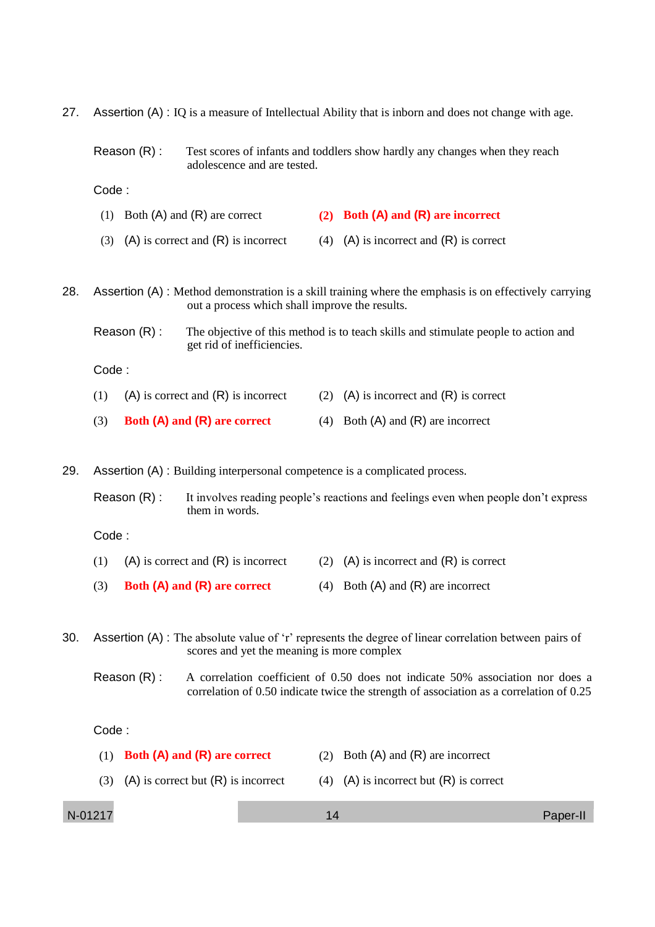| 27. | Assertion (A) : IQ is a measure of Intellectual Ability that is inborn and does not change with age.                                                                                      |                                                |     |                                                                                                        |  |
|-----|-------------------------------------------------------------------------------------------------------------------------------------------------------------------------------------------|------------------------------------------------|-----|--------------------------------------------------------------------------------------------------------|--|
|     | Reason (R) :                                                                                                                                                                              | adolescence and are tested.                    |     | Test scores of infants and toddlers show hardly any changes when they reach                            |  |
|     | Code:                                                                                                                                                                                     |                                                |     |                                                                                                        |  |
|     | (1) Both $(A)$ and $(R)$ are correct                                                                                                                                                      |                                                |     | (2) Both (A) and (R) are incorrect                                                                     |  |
|     | (3)                                                                                                                                                                                       | $(A)$ is correct and $(R)$ is incorrect        | (4) | $(A)$ is incorrect and $(R)$ is correct                                                                |  |
| 28. |                                                                                                                                                                                           | out a process which shall improve the results. |     | Assertion (A) : Method demonstration is a skill training where the emphasis is on effectively carrying |  |
|     | Reason (R) :                                                                                                                                                                              | get rid of inefficiencies.                     |     | The objective of this method is to teach skills and stimulate people to action and                     |  |
|     | Code:                                                                                                                                                                                     |                                                |     |                                                                                                        |  |
|     | (1)                                                                                                                                                                                       | $(A)$ is correct and $(R)$ is incorrect        | (2) | $(A)$ is incorrect and $(R)$ is correct                                                                |  |
|     | (3)                                                                                                                                                                                       | Both (A) and (R) are correct                   |     | (4) Both $(A)$ and $(R)$ are incorrect                                                                 |  |
| 29. | Assertion (A) : Building interpersonal competence is a complicated process.                                                                                                               |                                                |     |                                                                                                        |  |
|     | Reason (R) :                                                                                                                                                                              | them in words.                                 |     | It involves reading people's reactions and feelings even when people don't express                     |  |
|     | Code:                                                                                                                                                                                     |                                                |     |                                                                                                        |  |
|     | (1)                                                                                                                                                                                       | $(A)$ is correct and $(R)$ is incorrect        | (2) | $(A)$ is incorrect and $(R)$ is correct                                                                |  |
|     | (3)                                                                                                                                                                                       | Both (A) and (R) are correct                   |     | (4) Both $(A)$ and $(R)$ are incorrect                                                                 |  |
| 30. |                                                                                                                                                                                           | scores and yet the meaning is more complex     |     | Assertion (A) : The absolute value of 'r' represents the degree of linear correlation between pairs of |  |
|     | Reason (R) :<br>A correlation coefficient of 0.50 does not indicate 50% association nor does a<br>correlation of 0.50 indicate twice the strength of association as a correlation of 0.25 |                                                |     |                                                                                                        |  |

# Code :

|         | $(1)$ Both (A) and (R) are correct        |    | (2) Both $(A)$ and $(R)$ are incorrect    |          |
|---------|-------------------------------------------|----|-------------------------------------------|----------|
|         | (3) (A) is correct but $(R)$ is incorrect |    | (4) (A) is incorrect but $(R)$ is correct |          |
| N-01217 |                                           | 14 |                                           | Paper-II |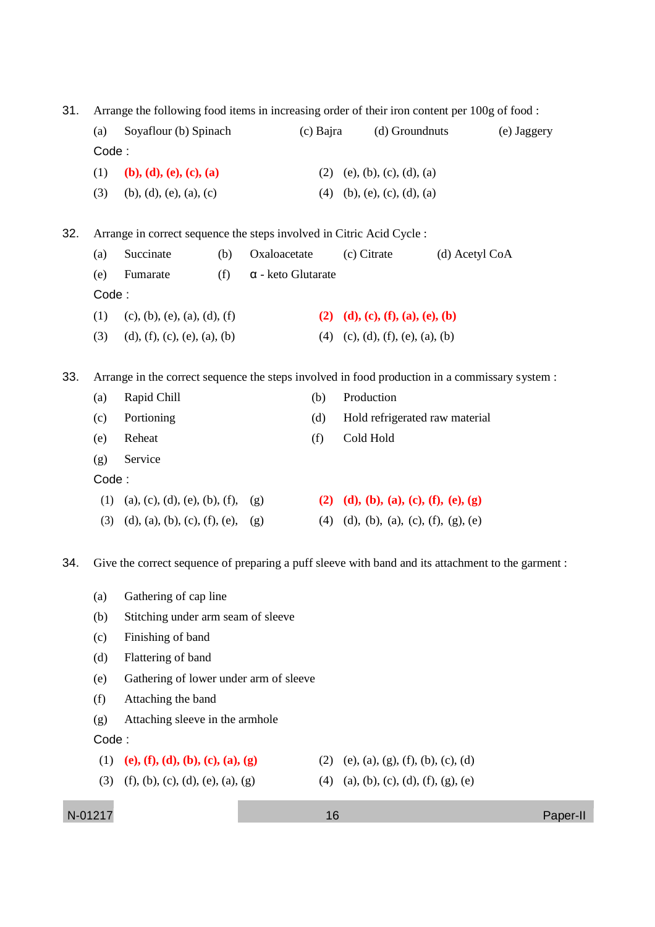31. Arrange the following food items in increasing order of their iron content per 100g of food :

| (b), (d), (e), (c), (a)<br>$(b)$ , $(d)$ , $(e)$ , $(a)$ , $(c)$ |                                                                                                | $(2)$ (e), (b), (c), (d), (a)                   |                                       |                                                                                                                                                                   |
|------------------------------------------------------------------|------------------------------------------------------------------------------------------------|-------------------------------------------------|---------------------------------------|-------------------------------------------------------------------------------------------------------------------------------------------------------------------|
|                                                                  |                                                                                                |                                                 |                                       |                                                                                                                                                                   |
|                                                                  |                                                                                                |                                                 |                                       |                                                                                                                                                                   |
|                                                                  |                                                                                                | (4)                                             | (b), (e), (c), (d), (a)               |                                                                                                                                                                   |
|                                                                  | Arrange in correct sequence the steps involved in Citric Acid Cycle :                          |                                                 |                                       |                                                                                                                                                                   |
| Succinate<br>(b)                                                 | Oxaloacetate                                                                                   | (c) Citrate                                     | (d) Acetyl CoA                        |                                                                                                                                                                   |
| Fumarate<br>(f)                                                  | $\alpha$ - keto Glutarate                                                                      |                                                 |                                       |                                                                                                                                                                   |
|                                                                  |                                                                                                |                                                 |                                       |                                                                                                                                                                   |
| (c), (b), (e), (a), (d), (f)                                     |                                                                                                |                                                 | (2) (d), (c), (f), (a), (e), (b)      |                                                                                                                                                                   |
| (d), (f), (c), (e), (a), (b)                                     |                                                                                                |                                                 | $(4)$ (c), (d), (f), (e), (a), (b)    |                                                                                                                                                                   |
|                                                                  | Arrange in the correct sequence the steps involved in food production in a commissary system : |                                                 |                                       |                                                                                                                                                                   |
| Rapid Chill                                                      | (b)                                                                                            | Production                                      |                                       |                                                                                                                                                                   |
| Portioning                                                       | (d)                                                                                            |                                                 | Hold refrigerated raw material        |                                                                                                                                                                   |
| Reheat                                                           | (f)                                                                                            | Cold Hold                                       |                                       |                                                                                                                                                                   |
| Service                                                          |                                                                                                |                                                 |                                       |                                                                                                                                                                   |
|                                                                  |                                                                                                |                                                 |                                       |                                                                                                                                                                   |
| (a), (c), (d), (e), (b), (f), (g)                                |                                                                                                |                                                 | (2) (d), (b), (a), (c), (f), (e), (g) |                                                                                                                                                                   |
|                                                                  | (g)                                                                                            |                                                 |                                       |                                                                                                                                                                   |
|                                                                  |                                                                                                |                                                 |                                       |                                                                                                                                                                   |
|                                                                  |                                                                                                | $(d)$ , $(a)$ , $(b)$ , $(c)$ , $(f)$ , $(e)$ , |                                       | $(4)$ $(d)$ , $(b)$ , $(a)$ , $(c)$ , $(f)$ , $(g)$ , $(e)$<br>Give the correct sequence of preparing a puff sleeve with band and its attachment to the garment : |

- (a) Gathering of cap line
- (b) Stitching under arm seam of sleeve
- (c) Finishing of band
- (d) Flattering of band
- (e) Gathering of lower under arm of sleeve
- (f) Attaching the band
- (g) Attaching sleeve in the armhole

### Code :

- (1) **(e), (f), (d), (b), (c), (a), (g)** (2) (e), (a), (g), (f), (b), (c), (d)
- (3) (f), (b), (c), (d), (e), (a), (g) (4) (a), (b), (c), (d), (f), (g), (e)
- -

```
N-01217 16 Paper-II
```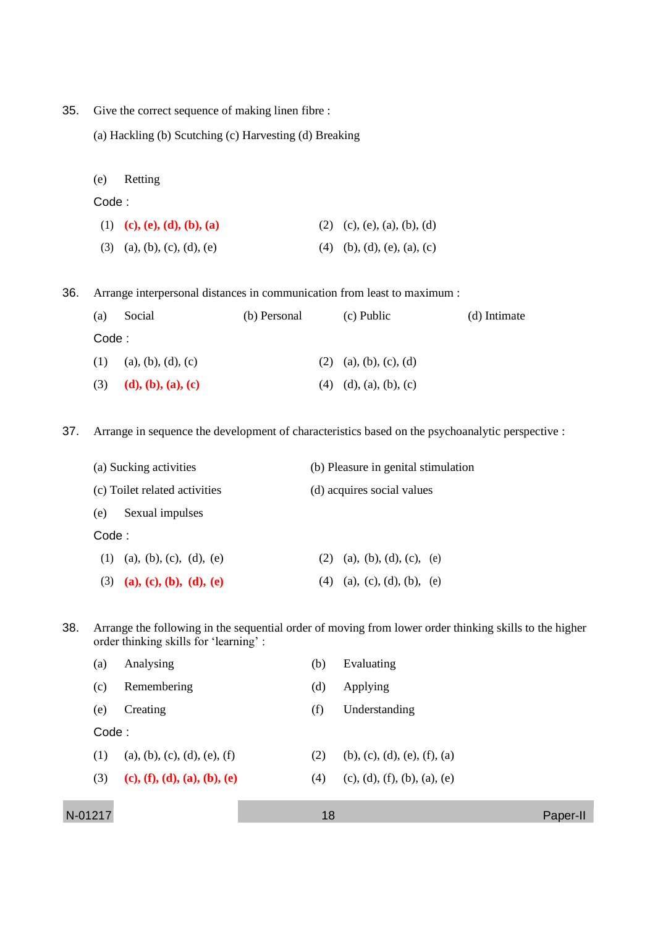- 35. Give the correct sequence of making linen fibre :
	- (a) Hackling (b) Scutching (c) Harvesting (d) Breaking
	- (e) Retting

### Code :

| (1) (c), (e), (d), (b), (a)   | $(2)$ (c), (e), (a), (b), (d) |
|-------------------------------|-------------------------------|
| $(3)$ (a), (b), (c), (d), (e) | $(4)$ (b), (d), (e), (a), (c) |

36. Arrange interpersonal distances in communication from least to maximum :

| (a)    | Social             | (b) Personal | (c) Public                 | (d) Intimate |
|--------|--------------------|--------------|----------------------------|--------------|
| Code : |                    |              |                            |              |
| (1)    | (a), (b), (d), (c) |              | $(2)$ (a), (b), (c), (d)   |              |
| (3)    | (d), (b), (a), (c) |              | $(4)$ $(d), (a), (b), (c)$ |              |

37. Arrange in sequence the development of characteristics based on the psychoanalytic perspective :

|       | (a) Sucking activities        | (b) Pleasure in genital stimulation |  |  |  |  |
|-------|-------------------------------|-------------------------------------|--|--|--|--|
|       | (c) Toilet related activities | (d) acquires social values          |  |  |  |  |
| (e)   | Sexual impulses               |                                     |  |  |  |  |
| Code: |                               |                                     |  |  |  |  |
|       | $(1)$ (a), (b), (c), (d), (e) | (2) (a), (b), (d), (c), (e)         |  |  |  |  |
| (3)   | (a), (c), (b), (d), (e)       | (4) (a), (c), (d), (b), (e)         |  |  |  |  |

38. Arrange the following in the sequential order of moving from lower order thinking skills to the higher order thinking skills for 'learning' :

|         | (a)   | Analysing                    | (b) | Evaluating                      |          |
|---------|-------|------------------------------|-----|---------------------------------|----------|
|         | (c)   | Remembering                  | (d) | Applying                        |          |
|         | (e)   | Creating                     | (f) | Understanding                   |          |
|         | Code: |                              |     |                                 |          |
|         | (1)   | (a), (b), (c), (d), (e), (f) | (2) | $(b)$ , (c), (d), (e), (f), (a) |          |
|         | (3)   | (c), (f), (d), (a), (b), (e) | (4) | (c), (d), (f), (b), (a), (e)    |          |
|         |       |                              |     |                                 |          |
| N-01217 |       |                              | 18  |                                 | Paper-II |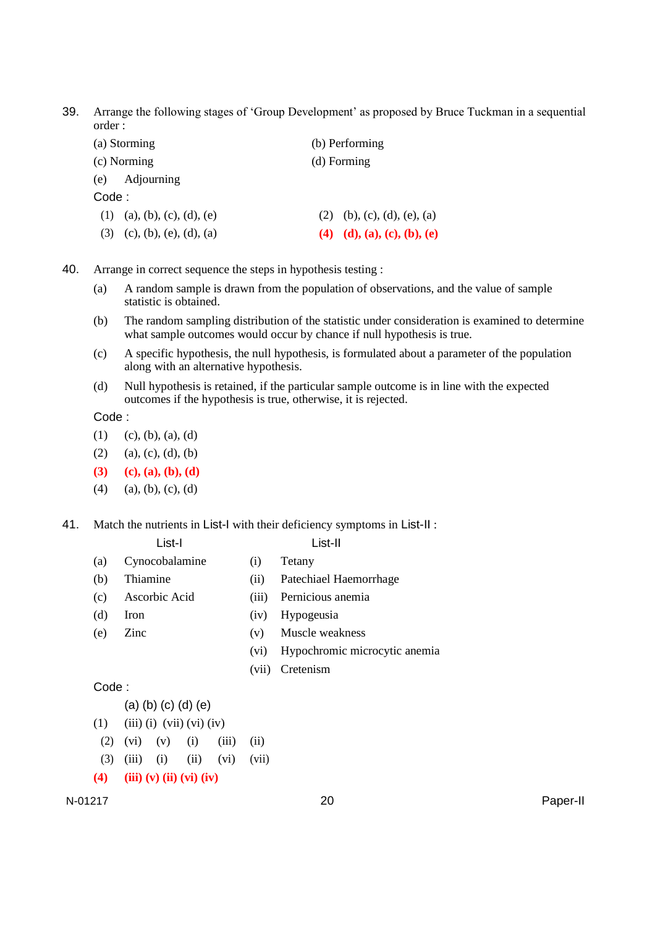39. Arrange the following stages of 'Group Development' as proposed by Bruce Tuckman in a sequential order :

| (a) Storming                   | (b) Performing              |  |  |  |
|--------------------------------|-----------------------------|--|--|--|
| (c) Norming                    | (d) Forming                 |  |  |  |
| (e) Adjourning                 |                             |  |  |  |
| Code :                         |                             |  |  |  |
| $(1)$ (a), (b), (c), (d), (e)  | (2) (b), (c), (d), (e), (a) |  |  |  |
| (c), (b), (e), (d), (a)<br>(3) | (4) (d), (a), (c), (b), (e) |  |  |  |

- 40. Arrange in correct sequence the steps in hypothesis testing :
	- (a) A random sample is drawn from the population of observations, and the value of sample statistic is obtained.
	- (b) The random sampling distribution of the statistic under consideration is examined to determine what sample outcomes would occur by chance if null hypothesis is true.
	- (c) A specific hypothesis, the null hypothesis, is formulated about a parameter of the population along with an alternative hypothesis.
	- (d) Null hypothesis is retained, if the particular sample outcome is in line with the expected outcomes if the hypothesis is true, otherwise, it is rejected.

Code :

- $(1)$   $(c), (b), (a), (d)$
- $(2)$  (a), (c), (d), (b)
- **(3) (c), (a), (b), (d)**
- $(4)$  (a), (b), (c), (d)
- 41. Match the nutrients in List-I with their deficiency symptoms in List-II :

### List-II

- (a) Cynocobalamine (i) Tetany
- (b) Thiamine (ii) Patechiael Haemorrhage
- (c) Ascorbic Acid (iii) Pernicious anemia
- (d) Iron (iv) Hypogeusia
- (e) Zinc (v) Muscle weakness
	- (vi) Hypochromic microcytic anemia
	- (vii) Cretenism

Code :

(a) (b) (c) (d) (e)

- $(1)$   $(iii)$   $(i)$   $(vii)$   $(vi)$   $(iv)$
- $(2)$   $(vi)$   $(v)$   $(i)$   $(iii)$   $(ii)$
- (3) (iii) (i) (ii) (vi) (vii)
- **(4) (iii) (v) (ii) (vi) (iv)**

N-01217 20 Paper-II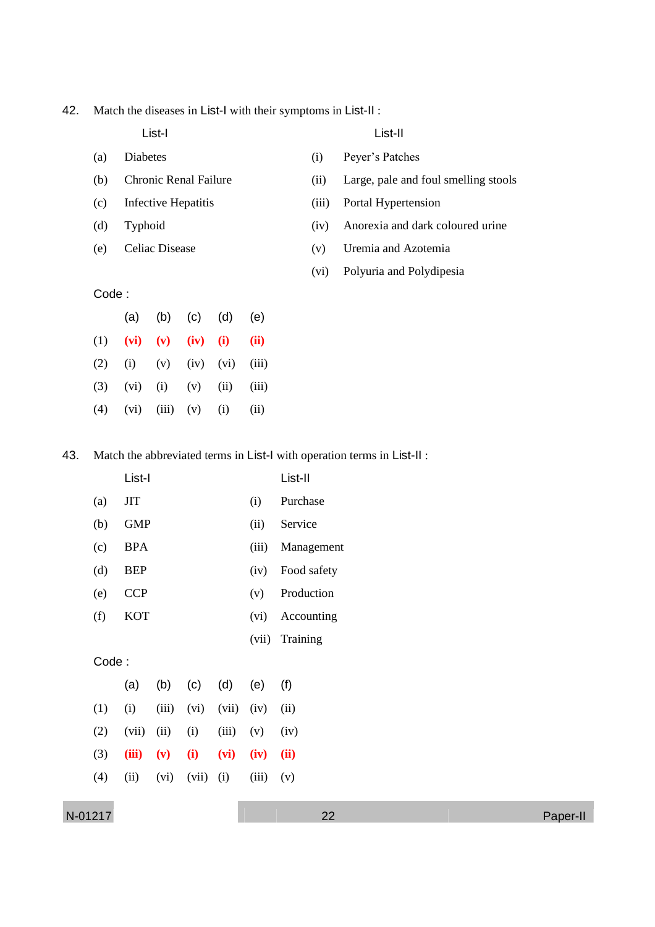42. Match the diseases in List-I with their symptoms in List-II :

- (a) Diabetes (i) Peyer's Patches
- 
- (c) Infective Hepatitis (iii) Portal Hypertension
- 
- 

List-I List-II

- 
- (b) Chronic Renal Failure (ii) Large, pale and foul smelling stools
	-
- (d) Typhoid (iv) Anorexia and dark coloured urine
- (e) Celiac Disease (v) Uremia and Azotemia
	- (vi) Polyuria and Polydipesia

### Code :

|                                         | (a) (b) (c) (d) (e) |  |  |
|-----------------------------------------|---------------------|--|--|
| (1) (vi) (v) (iv) (i) (ii)              |                     |  |  |
| (2) (i) (v) (iv) (vi) (iii)             |                     |  |  |
| $(3)$ $(vi)$ $(i)$ $(v)$ $(ii)$ $(iii)$ |                     |  |  |
| $(4)$ $(vi)$ $(iii)$ $(v)$ $(i)$ $(ii)$ |                     |  |  |

43. Match the abbreviated terms in List-I with operation terms in List-II :

|       | List-I     |       |       |       |       | List-II     |
|-------|------------|-------|-------|-------|-------|-------------|
| (a)   | ЛT         |       |       |       | (i)   | Purchase    |
| (b)   | <b>GMP</b> |       |       |       | (ii)  | Service     |
| (c)   | <b>BPA</b> |       |       |       | (iii) | Management  |
| (d)   | <b>BEP</b> |       |       |       | (iv)  | Food safety |
| (e)   | <b>CCP</b> |       |       |       | (v)   | Production  |
| (f)   | <b>KOT</b> |       |       |       | (vi)  | Accounting  |
|       |            |       |       |       | (vii) | Training    |
| Code: |            |       |       |       |       |             |
|       | (a)        | (b)   | (c)   | (d)   | (e)   | (f)         |
| (1)   | (i)        | (iii) | (vi)  | (vii) | (iv)  | (ii)        |
| (2)   | (vii)      | (ii)  | (i)   | (iii) | (v)   | (iv)        |
| (3)   | (iii)      | (v)   | (i)   | (vi)  | (iv)  | (ii)        |
| (4)   | (ii)       | (vi)  | (vii) | (i)   | (iii) | (v)         |
|       |            |       |       |       |       |             |

N-01217 22 Paper-II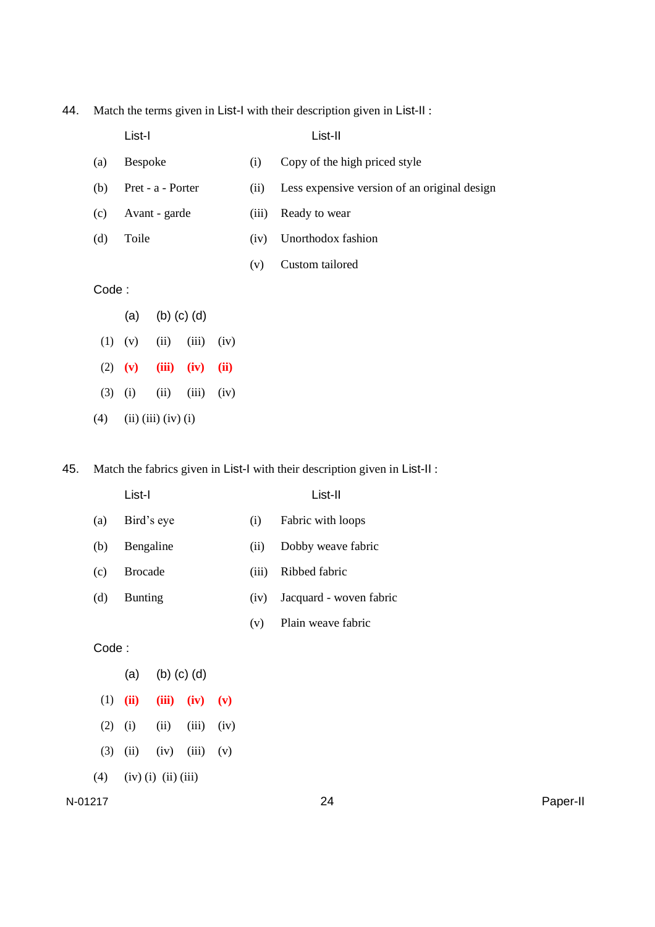44. Match the terms given in List-I with their description given in List-II :

|       | List-I            |       |                   |                                              |     | List-II                       |
|-------|-------------------|-------|-------------------|----------------------------------------------|-----|-------------------------------|
| (a)   | <b>Bespoke</b>    |       |                   |                                              | (i) | Copy of the high priced style |
| (b)   | Pret - a - Porter |       | (ii)              | Less expensive version of an original design |     |                               |
| (c)   | Avant - garde     |       | (iii)             | Ready to wear                                |     |                               |
| (d)   | Toile             |       | (iv)              | Unorthodox fashion                           |     |                               |
|       |                   |       |                   |                                              | (v) | Custom tailored               |
| Code: |                   |       |                   |                                              |     |                               |
|       | (a)               |       | $(b)$ $(c)$ $(d)$ |                                              |     |                               |
| (1)   | (v)               | (ii)  | (iii)             | (iv)                                         |     |                               |
| (2)   | (v)               | (iii) | (iv)              | (ii)                                         |     |                               |

- (3) (i) (iii) (iii) (iv)
- (4) (ii) (iii) (iv) (i)

45. Match the fabrics given in List-I with their description given in List-II :

|       | List-I                   |                       |       |      | List-II |                         |  |
|-------|--------------------------|-----------------------|-------|------|---------|-------------------------|--|
| (a)   | Bird's eye               |                       |       |      | (i)     | Fabric with loops       |  |
| (b)   | Bengaline                |                       |       |      | (ii)    | Dobby weave fabric      |  |
| (c)   | <b>Brocade</b>           |                       |       |      | (iii)   | Ribbed fabric           |  |
| (d)   | <b>Bunting</b>           |                       |       |      | (iv)    | Jacquard - woven fabric |  |
|       |                          |                       |       |      | (v)     | Plain weave fabric      |  |
| Code: |                          |                       |       |      |         |                         |  |
|       | $(b)$ $(c)$ $(d)$<br>(a) |                       |       |      |         |                         |  |
| (1)   | (ii)                     | (iii)                 | (iv)  | (v)  |         |                         |  |
| (2)   | (i)                      | (ii)                  | (iii) | (iv) |         |                         |  |
| (3)   | (ii)                     | (iv)                  | (iii) | (v)  |         |                         |  |
| (4)   |                          | $(iv)$ (i) (ii) (iii) |       |      |         |                         |  |

N-01217 24 Paper-II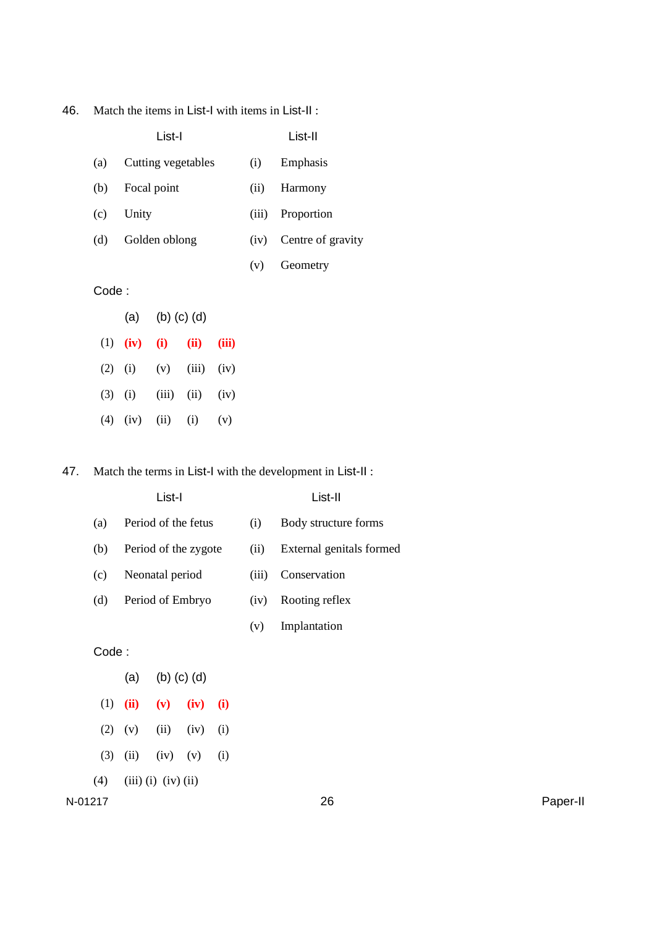46. Match the items in List-I with items in List-II :

|       | List-I                   |       | List-II           |
|-------|--------------------------|-------|-------------------|
| (a)   | Cutting vegetables       | (i)   | Emphasis          |
| (b)   | Focal point              | (ii)  | Harmony           |
| (c)   | Unity                    | (iii) | Proportion        |
| (d)   | Golden oblong            | (iv)  | Centre of gravity |
|       |                          | (v)   | Geometry          |
| Code: |                          |       |                   |
|       | $(b)$ $(c)$ $(d)$<br>(a) |       |                   |

| $(1)$ $(iv)$ $(i)$ |                        | $(ii)$ $(iii)$        |  |
|--------------------|------------------------|-----------------------|--|
|                    | (2) (i) (v) (iii) (iv) |                       |  |
| $(3)$ (i)          |                        | $(iii)$ $(ii)$ $(iv)$ |  |
|                    | (4) (iv) (ii) (i) (v)  |                       |  |

47. Match the terms in List-I with the development in List-II :

| List-I |                      |       | List-II                  |  |  |
|--------|----------------------|-------|--------------------------|--|--|
| (a)    | Period of the fetus  | (i)   | Body structure forms     |  |  |
| (b)    | Period of the zygote | (i1)  | External genitals formed |  |  |
| (c)    | Neonatal period      | (iii) | Conservation             |  |  |
| (d)    | Period of Embryo     | (iv)  | Rooting reflex           |  |  |
|        |                      | (v)   | Implantation             |  |  |
|        |                      |       |                          |  |  |

Code :

| (a)                       | $(b)$ $(c)$ $(d)$         |               |     |  |
|---------------------------|---------------------------|---------------|-----|--|
| $(1)$ (ii)                | $(v)$ (iv) (i)            |               |     |  |
| $(2)$ $(v)$               |                           | $(ii)$ $(iv)$ | (i) |  |
|                           | $(3)$ $(ii)$ $(iv)$ $(v)$ |               | (i) |  |
| $(4)$ (iii) (i) (iv) (ii) |                           |               |     |  |

N-01217 26 Paper-II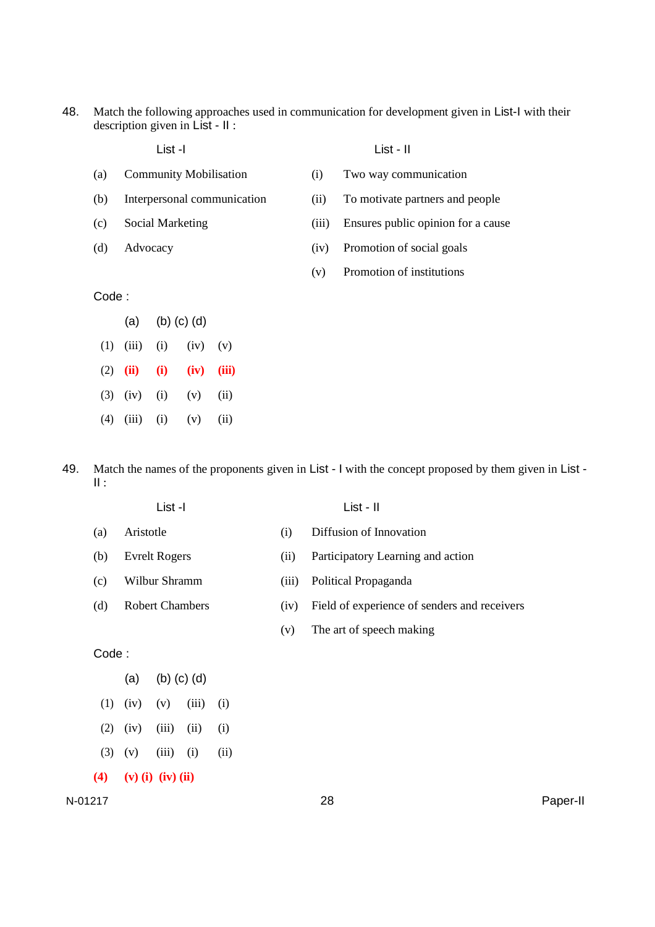48. Match the following approaches used in communication for development given in List-I with their description given in List - II :

|       | List -l                       |       | $List - II$                        |
|-------|-------------------------------|-------|------------------------------------|
| (a)   | <b>Community Mobilisation</b> | (i)   | Two way communication              |
| (b)   | Interpersonal communication   | (i)   | To motivate partners and people    |
| (c)   | Social Marketing              | (111) | Ensures public opinion for a cause |
| (d)   | Advocacy                      | (iv)  | Promotion of social goals          |
|       |                               | (v)   | Promotion of institutions          |
| Code: |                               |       |                                    |
|       | 7 \ 7 1 \ 7 \ 7 1\            |       |                                    |

- (a) (b) (c) (d)  $(1)$   $(iii)$   $(i)$   $(iv)$   $(v)$ (2) **(ii) (i) (iv) (iii)** (3) (iv) (i) (v) (ii)  $(4)$   $(iii)$   $(i)$   $(v)$   $(ii)$
- 49. Match the names of the proponents given in List I with the concept proposed by them given in List II :
	- (a) Aristotle (i) Diffusion of Innovation (b) Evrelt Rogers (ii) Participatory Learning and action (c) Wilbur Shramm (iii) Political Propaganda (d) Robert Chambers (iv) Field of experience of senders and receivers (v) The art of speech making Code : (a) (b) (c) (d)

List -I List - II

 $(1)$   $(iv)$   $(v)$   $(iii)$   $(i)$  $(2)$   $(iv)$   $(iii)$   $(ii)$   $(i)$  $(3)$   $(v)$   $(iii)$   $(i)$   $(ii)$ **(4) (v) (i) (iv) (ii)**

$$
N-01217
$$

N-01217 28 Paper-II